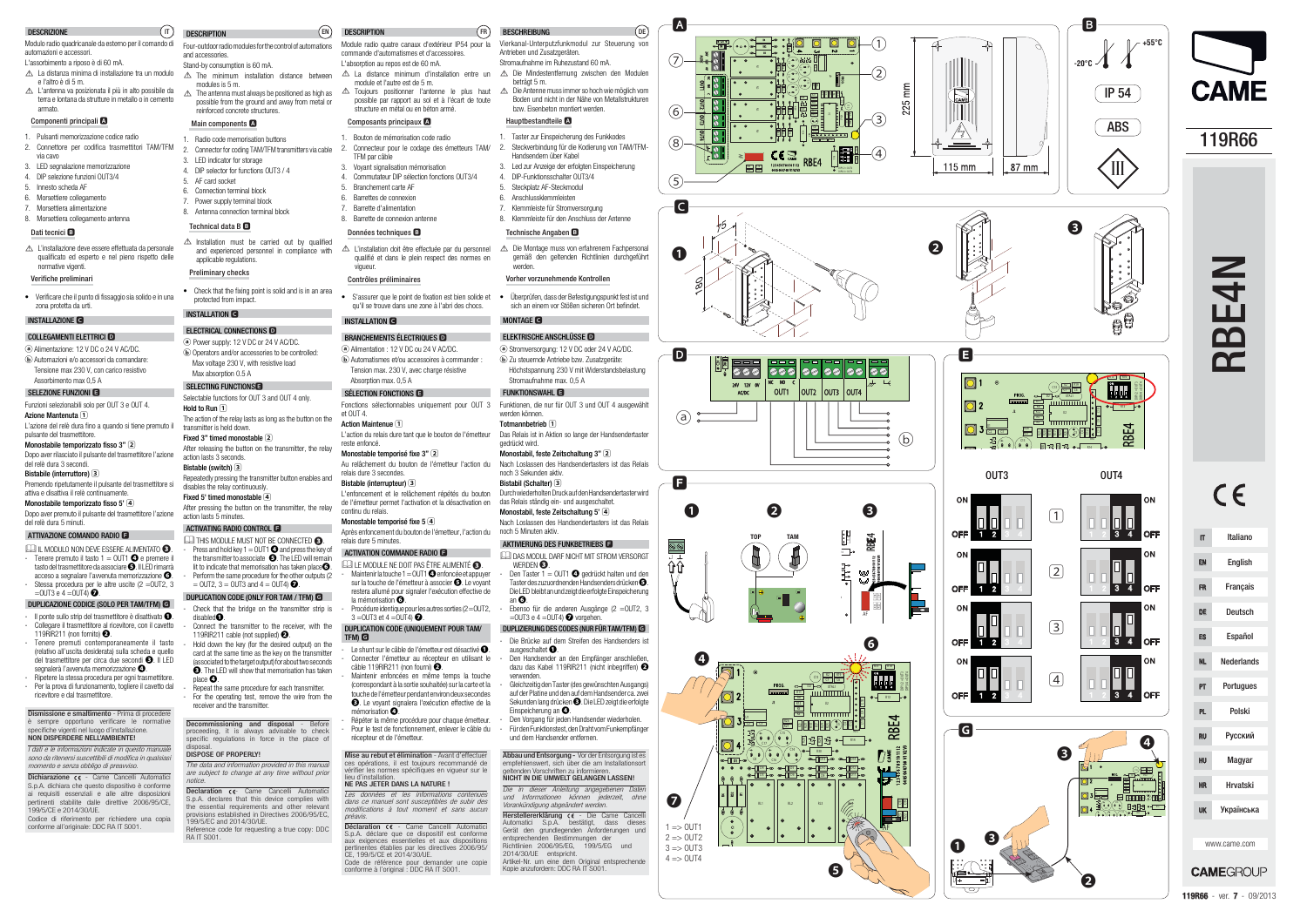l. AC/DC

 $\sqrt{8}$ 

NC NO ا‡∨ 0W <sub>اللا</sub> 0W <sub>12</sub>

> ETE<br>Rieger<br>Den Enge XTAL1

> > 15

OUT1 OUT2

> R2 C6<br>C6

 $-\widehat{1}$ 

OUT3 OUT4

 $\frac{1}{4}$ 

AF

1 2 3 4 5 6 7 8 9 10 11 12

RBE4

04 05 06 07 08 V1 V2 V3

R30

 $DIP1/2 = OUT3$ R15 R16

RR1

 $\frac{1}{2}$  Report of  $\frac{1}{2}$ 

**IC** U1 t.  $^{\circ}$ 

0000

,∙•े⁄ाक

RL1

ß

ls B

<u>P</u> D14 e E <u>ା<br>• • • • •</u><br>anicolias

RL3 RL4 C16

Q5

R23 C18

A

 $\left($ DE $\right)$ 

 $(6)$ 

⑧

⑤

**C** 

②

③

 $25$ 

180

75

❶

❷

S

 $(b)$ 

**OFF** 

R4

 $ON$ 

**OFF** 

ON

ON

 $C16$ C8

> $\overline{\phantom{a}}$ R22 C19

1 => OUT1  $2 = 00T2$  $3 = 0$ UT3  $4 = 00T4$   $\frac{20}{120}$   $\frac{20}{120}$   $\frac{8}{120}$   $\frac{18}{120}$ 

 $\boldsymbol{Q}$ 

RL1

D

**F**

|<br>מה<br>10

24VAC/DC

 $\mathbf{D}$ 



OUT1

 $\overline{\circ}$ 

 $_{12V}$   $_{0V}$   $\mid$  NC NO C

OUT2

 $\overline{\text{OUT3}}$   $\overline{\text{OUT4}}$ 

|ee||ee||ee|

J2

 $\bullet$ 

Q3

R1

8līz

- $\triangle$  La distanza minima di installazione tra un modulo e l'altro è di 5 m.! L'antenna va posizionata il più in alto possibile da
- terra e lontana da strutture in metallo o in cemento armato.

 $\triangle$  L'installazione deve essere effettuata da personale qualificato ed esperto e nel pieno rispetto delle normative vigenti.

**TOP TAM**

AF

 $\overset{\mathbb{W}}{\smash{\cup}}$ 

RBE4

RR1 14

C<br>F

11 12 14

disland on the control of the control of the control of the control of the control of the control of the control of the control of the control of the control of the control of the control of the control of the control of t

**R2** B3 B3 O- R14

 $\equiv$  Reed Records  $\equiv$ 

R23 C18 R22 C19

❶

 $\boldsymbol{c}$ 

 $(a)$ 

 $\bigcirc$   $\rightarrow$ 

❷

❸

00

AF

RBE4

U ä

XTAL1

7 || C6

 $\mathcal{G}$ eb $\frac{1}{\mathbb{R}^n}$ 

 $\frac{20}{3}$ 

们<br>[1]

Red R

D4

D10 D5 D6 D9

R32

+

++

R4

+ +

ă

3 4

R12

DIP1/2 = OUT3 DIP3/4 = OUT4

R13

R<sub>15</sub> R<sub>16</sub>

。<br>\_I\_I\_I\_

❻

❺

❶

④

#### DESCRIZIONE

### Dismissione e smaltimento - Prima di procedere è sempre opportuno verificare le normative specifiche vigenti nel luogo d'installazione.

### Modulo radio quadricanale da esterno per il comando di automazioni e accessori.

### L'assorbimento a riposo è di 60 mA.

sono da ritenersi suscettibili di modifica in qualsiasi momento e senza obbligo di preavviso.

Dichiarazione CE - Came Cancelli Automatici S.p.A. dichiara che questo dispositivo è conforme ai requisiti essenziali e alle altre disposizioni pertinenti stabilite dalle direttive 2006/95/CE, 199/5/CE e 2014/30/UE.

### Componenti principali **A**

 $\triangle$  The minimum installation distance between modules is 5 m.

 $\triangle$  The antenna must always be positioned as high as possible from the ground and away from metal or reinforced concrete structures.

- 1. Pulsanti memorizzazione codice radio
- 2. Connettore per codifica trasmettitori TAM/TFM
- via cavo
- 3. LED segnalazione memorizzazione
- 4 DIP selezione funzioni OUT3/4 5. Innesto scheda AF
- 6. Morsettiere collegamento
- 7. Morsettiera alimentazione
- 8. Morsettiera collegamento antenna

#### Dati tecnici **B**

 $\triangle$  Installation must be carried out by qualified and experienced personnel in compliance with applicable regulations.

**ⓐ** Power supply: 12 V DC or 24 V AC/DC. **ⓑ** Operators and/or accessories to be controlled: Max voltage 230 V, with resistive load Max absorption  $0.5$  A

### Verifiche preliminari

• Verificare che il punto di fissaggio sia solido e in una zona protetta da urti.

### INSTALLAZIONE **C**

### COLLEGAMENTI ELETTRICI **D**

Selectable functions for OUT 3 and OUT 4 only. Hold to Run **1** The action of the relay lasts as long as the button on the transmitter is held down. Fixed 3" timed monostable<sup>[2]</sup> After releasing the button on the transmitter, the relay action lasts 3 seconds.

Bistable (switch) **3**Repeatedly pressing the transmitter button enables and disables the relay continuously. Fixed 5' timed monostable 4

- **ⓐ** Alimentazione: 12 V DC o 24 V AC/DC. **ⓑ** Automazioni e/o accessori da comandare: Tensione max 230 V, con carico resistivo
- Assorbimento max 0,5 A

### SELEZIONE FUNZIONI **E**

 THIS MODULE MUST NOT BE CONNECTED **❸**. - Press and hold key 1 = OUT1 **❹** and press the key of the transmitter to associate **❺**. The LED will remain lit to indicate that memorisation has taken place **❻**. Perform the same procedure for the other outputs (2)  $=$  OUT2, 3  $=$  OUT3 and 4  $=$  OUT4)  $\bullet$ .

Funzioni selezionabili solo per OUT 3 e OUT 4. Azione Mantenuta **1**L'azione del relè dura fino a quando si tiene premuto il

pulsante del trasmettitore. Monostabile temporizzato fisso 3" **2**

- Dopo aver rilasciato il pulsante del trasmettitore l'azione del relè dura 3 secondi.
- Bistabile (interruttore) **3**

 Premendo ripetutamente il pulsante del trasmettitore si attiva e disattiva il relè continuamente.

### For the operating test, remove the wire from the receiver and the transmitter.

Decommissioning and disposal - Before proceeding, it is always advisable to check specific regulations in force in the place of dienosal

Monostabile temporizzato fisso 5' **4** Dopo aver premuto il pulsante del trasmettitore l'azione del relè dura 5 minuti.

### ATTIVAZIONE COMANDO RADIO **F**

### **Declaration <e-** Came Cancelli Automatici S.p.A. declares that this device complies with the essential requirements and other relevant provisions established in Directives 2006/95/EC,199/5/EC and 2014/30/UE.

- IL MODULO NON DEVE ESSERE ALIMENTATO **❸**.
- $\blacksquare$  Tenere premuto il tasto  $1 = 0$ UT1  $\blacksquare$  e premere il tasto del trasmettitore da associare **❺**. Il LED rimarrà acceso a segnalare l'avvenuta memorizzazione **❻**.
- Stessa procedura per le altre uscite (2 = OUT2, 3 =OUT3 e 4 =OUT4) **❼**.

Module radio quatre canaux d'extérieur IP54 pour la commande d'automatismes et d'accessoires.L'absorption au repos est de 60 mA

### DUPLICAZIONE CODICE (SOLO PER TAM/TFM) **G**

- $\triangle$  La distance minimum d'installation entre un module et l'autre est de 5 m. $\triangle$  Toujours positionner l'antenne le plus haut  $\triangle$ 
	- possible par rapport au sol et à l'écart de toute structure en métal ou en béton armé.

- Il ponte sullo strip del trasmettitore è disattivato **❶**. - Collegare il trasmettitore al ricevitore, con il cavetto 119RIR211 (non fornito) **❷**.
- Tenere premuti contemporaneamente il tasto (relativo all'uscita desiderata) sulla scheda e quello del trasmettitore per circa due secondi **❸**. Il LED segnalerà l'avvenuta memorizzazione <sup>o.</sup>
- Ripetere la stessa procedura per ogni trasmettitore. Per la prova di funzionamento, togliere il cavetto dal ricevitore e dal trasmettitore.

• S'assurer que le point de fixation est bien solide et • Überprüfen, dass der Befestigungspunkt fest ist und qu'il se trouve dans une zone à l'abri des chocs.

**ⓐ** Alimentation : 12 V DC ou 24 V AC/DC. **ⓑ** Automatismes et/ou accessoires à commander : Tension max. 230 V, avec charge résistive Absomtion max. 0.5 A

### NON DISPERDERE NELL'AMBIENTE! I dati e le informazioni indicate in questo manuale

Maintenir enfoncées en même temps la touche (correspondant à la sortie souhaitée) sur la carte et la touche de l'émetteur pendant environ deux secondes **❸**. Le voyant signalera l'exécution effective de la

 - Répéter la même procédure pour chaque émetteur. Pour le test de fonctionnement, enlever le câble du

Mise au rebut et élimination - Avant d'effectuer ces opérations, il est toujours recommandé de<br>vérifier les normes spécifiques en vigueur sur le

 Codice di riferimento per richiedere una copiaconforme all'originale: DDC RA IT S001.

# **DESCRIPTION**

Four-outdoor radio modules for the control of automations and accessories. Stand-by consumption is 60 mA.

> NE PAS JETER DANS LA NATURE ! Les données et les informations contenues dans ce manuel sont susceptibles de subir des modifications à tout moment et sans aucun

### Main components **A**

Déclaration << - Came Cancelli Automatici S.p.A. déclare que ce dispositif est conforme aux exigences essentielles et aux dispositions pertinentes établies par les directives 2006/95/CE, 199/5/CE et 2014/30/UE. Code de référence pour demander une copie conforme à l'original : DDC RA IT S001.

- 1. Radio code memorisation buttons
- 2. Connector for coding TAM/TFM transmitters via cable
- **LED** indicator for storage
- 4. DIP selector for functions OUT3 / 4
- 5. AF card socket

 $(\mathsf{n})$ 

 $\triangle$  Die Antenne muss immer so hoch wie möglich vom Boden und nicht in der Nähe von Metallstrukturen

1. Taster zur Einspeicherung des Funkkodes Steckverbindung für die Kodierung von TAM/TFM-

- 6. Connection terminal block
- 7. Power supply terminal block
- 8. Antenna connection terminal block

### Technical data B **B**

4. DIP-Funktionsschalter OUT3/4 5. Steckplatz AF-Steckmodul 6. Anschlussklemmleisten 7. Klemmleiste für Stromversorgung 8. Klemmleiste für den Anschluss der Antenne

△ L'installation doit être effectuée par du personnel qualifié et dans le plein respect des normes en vigueur.  $\triangle$  Die Montage muss von erfahrenem Fachpersonal gemäß den geltenden Richtlinien durchgeführt werden.

## Preliminary checks

• Check that the fixing point is solid and is in an area protected from impact.

#### INSTALLATION **C**

#### ELECTRICAL CONNECTIONS **D**

### SELECTING FUNCTIONS**E**

AKTIVIERUNG DES FUNKBETRIEBS **F DAS MODUL DARE NICHT MIT STROM VERSORGT** 

- Ebenso für die anderen Ausgänge (2 = OUT2, 3 =OUT3 e 4 =OUT4) **❼** vorgehen. DUPLIZIERUNG DES CODES (NUR FÜR TAM/TFM) **G**- Die Brücke auf dem Streifen des Handsenders ist

Den Handsender an den Empfänger anschließen dazu das Kabel 119RIR211 (nicht inbegriffen) **❷**

After pressing the button on the transmitter, the relay action lasts 5 minutes.

#### ACTIVATING RADIO CONTROL **F**

Den Vorgang für jeden Handsender wiederholen. - Für den Funktionstest, den Draht vom Funkempfänger

**Abbau und Entsorgung -** Vor der Entsorgung ist es<br>empfehlenswert, sich über die am Installationsort

Artikel-Nr. um eine dem Original entsprechendeKopie anzufordern: DDC RA IT S001.

### DUPLICATION CODE (ONLY FOR TAM / TFM) **G**

- Check that the bridge on the transmitter strip is disabled**❶**. Connect the transmitter to the receiver, with the
- 119RIR211 cable (not supplied) **❷**. - Hold down the key (for the desired output) on the
- card at the same time as the key on the transmitter (associated to the target output) for about two seconds **❸**. The LED will show that memorisation has taken place **❹**. - Repeat the same procedure for each transmitter.

#### DISPOSE OF PROPERLY!

The data and information provided in this manual are subject to change at any time without prior notice.

 Reference code for requesting a true copy: DDCRA IT S001.

EN

DESCRIPTION

### Composants principaux **A**

- 1. Bouton de mémorisation code radio2.
- Connecteur pour le codage des émetteurs TAM/ TFM par câble
- 3. Voyant signalisation mémorisation
- 4. Commutateur DIP sélection fonctions OUT3/4
- 5. Branchement carte AF
- 6. Barrettes de connexion
- 7. Barrette d'alimentation

# 8. Barrette de connexion antenne

### Données techniques **B**

### Contrôles préliminaires

### INSTALLATION **C**

### BRANCHEMENTS ÉLECTRIQUES **D**

### SÉLECTION FONCTIONS **E**

Fonctions sélectionnables uniquement pour OUT 3 Funktionen, die nur für OUT 3 und OUT 4 ausgewählt et  $OIII4$ Action Maintenue **1**

reste enfoncé.

Monostable temporisé fixe 3" **2**

Au relâchement du bouton de l'émetteur l'action du

relais dure 3 secondes. Bistable (interrupteur) **3**

de l'émetteur permet l'activation et la désactivation en

continu du relais.

Monostable temporisé fixe 5 **4**

Après enfoncement du bouton de l'émetteur, l'action du

Procédure identique pour les autres sorties (2 = OUT2,

relais dure 5 minutes.

ACTIVATION COMMANDE RADIO **F** LE MODULE NE DOIT PAS ÊTRE ALIMENTÉ **❸**. - Maintenir la touche 1 = OUT1 **❹** enfoncée et appuyer sur la touche de l'émetteur à associer **❺**. Le voyant restera allumé pour signaler l'exécution effective de

la mémorisation **❻**.

3 =OUT3 et 4 =OUT4) **❼**.

DUPLICATION CODE (UNIQUEMENT POUR TAM/

TFM) **G**

lieu d'ins

- Le shunt sur le câble de l'émetteur est désactivé **❶**. - Connecter l'émetteur au récepteur en utilisant le câble 119RIR211 (non fourni) **❷**.

mémorisation **❹**.

récepteur et de l'émetteur.

L'action du relais dure tant que le bouton de l'émetteur Das Relais ist in Aktion so lange der Handsendertaster

préavis.

L'enfoncement et le relâchement répétés du bouton Durch wiederholten Druck auf den Handsendertaster wird

FR

BESCHREIBUNG

beträgt 5 m

Vierkanal-Unterputzfunkmodul zur Steuerung von

Antrieben und Zusatzgeräten. Stromaufnahme im Ruhezustand 60 mA.

! Die Mindestentfernung zwischen den Modulen

bzw. Eisenbeton montiert werden.

Hauptbestandteile **A**

Handsendern über Kabel

3. Led zur Anzeige der erfolgten Einspeicherung

Technische Angaben **B**

Vorher vorzunehmende Kontrollen

sich an einem vor Stößen sicheren Ort befindet.

MONTAGE **C**

ELEKTRISCHE ANSCHLÜSSE **Dⓐ** Stromversorgung: 12 V DC oder 24 V AC/DC. **ⓑ** Zu steuernde Antriebe bzw. Zusatzgeräte: Höchstspannung 230 V mit Widerstandsbelastung

Stromaufnahme max. 0,5 A FUNKTIONSWAHL **E**

werden können.Totmannbetrieb **1**gedrückt wird.

Monostabil, feste Zeitschaltung 3" **2**

Nach Loslassen des Handsendertasters ist das Relais

noch 3 Sekunden aktiv.Bistabil (Schalter) **3**

das Relais ständig ein- und ausgeschaltet. Monostabil, feste Zeitschaltung 5' **4**

Nach Loslassen des Handsendertasters ist das Relais

noch 5 Minuten aktiv.

WERDEN **❸**.

 - Den Taster 1 = OUT1 **❹** gedrückt halten und den Taster des zuzuordnenden Handsenders drücken **❺**. Die LED bleibt an und zeigt die erfolgte Einspeicherung

an **❻**.

ausgeschaltet **❶**.

verwenden.

 - Gleichzeitig den Taster (des gewünschten Ausgangs) auf der Platine und den auf dem Handsender ca. zwei Sekunden lang drücken **❸**. Die LED zeigt die erfolgte

Einspeicherung an **❹**.

und dem Handsender entfernen.

geltenden Vorschriften zu informieren. NICHT IN DIE UMWELT GELANGEN LASSEN! Die in dieser Anleitung angegebenen Daten und Informationen können jederzeit, ohne Vorankündigung abgeändert werden. Herstellererklärung (€ - Die Came Cancelli Automatici S.p.A. bestätigt, dass diesesGerät den grundlegenden Anforderungen unc entsprechenden Bestimmungen der Richtlinien 2006/95/EG, 199/5/EG und

2014/30/UE entspricht.